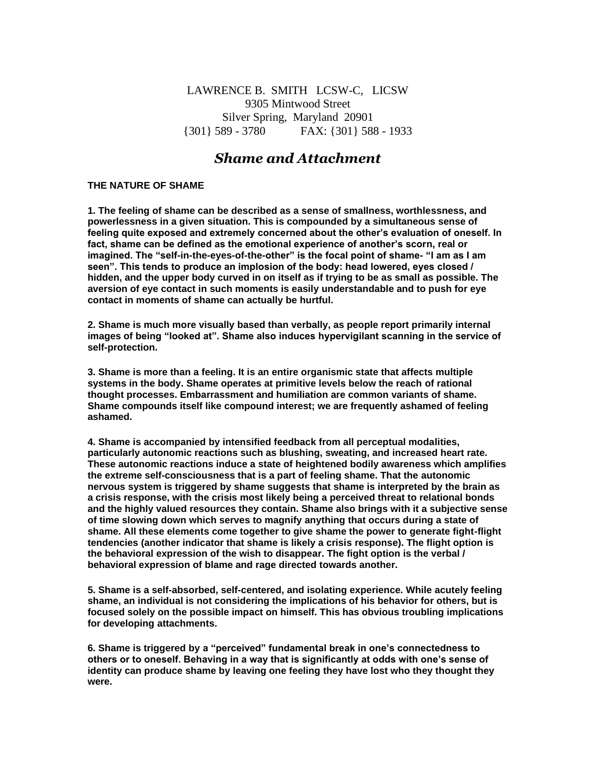# LAWRENCE B. SMITH LCSW-C, LICSW 9305 Mintwood Street Silver Spring, Maryland 20901 {301} 589 - 3780 FAX: {301} 588 - 1933

# *Shame and Attachment*

# **THE NATURE OF SHAME**

**1. The feeling of shame can be described as a sense of smallness, worthlessness, and powerlessness in a given situation. This is compounded by a simultaneous sense of feeling quite exposed and extremely concerned about the other's evaluation of oneself. In fact, shame can be defined as the emotional experience of another's scorn, real or imagined. The "self-in-the-eyes-of-the-other" is the focal point of shame- "I am as I am seen". This tends to produce an implosion of the body: head lowered, eyes closed / hidden, and the upper body curved in on itself as if trying to be as small as possible. The aversion of eye contact in such moments is easily understandable and to push for eye contact in moments of shame can actually be hurtful.**

**2. Shame is much more visually based than verbally, as people report primarily internal images of being "looked at". Shame also induces hypervigilant scanning in the service of self-protection.** 

**3. Shame is more than a feeling. It is an entire organismic state that affects multiple systems in the body. Shame operates at primitive levels below the reach of rational thought processes. Embarrassment and humiliation are common variants of shame. Shame compounds itself like compound interest; we are frequently ashamed of feeling ashamed.**

**4. Shame is accompanied by intensified feedback from all perceptual modalities, particularly autonomic reactions such as blushing, sweating, and increased heart rate. These autonomic reactions induce a state of heightened bodily awareness which amplifies the extreme self-consciousness that is a part of feeling shame. That the autonomic nervous system is triggered by shame suggests that shame is interpreted by the brain as a crisis response, with the crisis most likely being a perceived threat to relational bonds and the highly valued resources they contain. Shame also brings with it a subjective sense of time slowing down which serves to magnify anything that occurs during a state of shame. All these elements come together to give shame the power to generate fight-flight tendencies (another indicator that shame is likely a crisis response). The flight option is the behavioral expression of the wish to disappear. The fight option is the verbal / behavioral expression of blame and rage directed towards another.**

**5. Shame is a self-absorbed, self-centered, and isolating experience. While acutely feeling shame, an individual is not considering the implications of his behavior for others, but is focused solely on the possible impact on himself. This has obvious troubling implications for developing attachments.**

**6. Shame is triggered by a "perceived" fundamental break in one's connectedness to others or to oneself. Behaving in a way that is significantly at odds with one's sense of identity can produce shame by leaving one feeling they have lost who they thought they were.**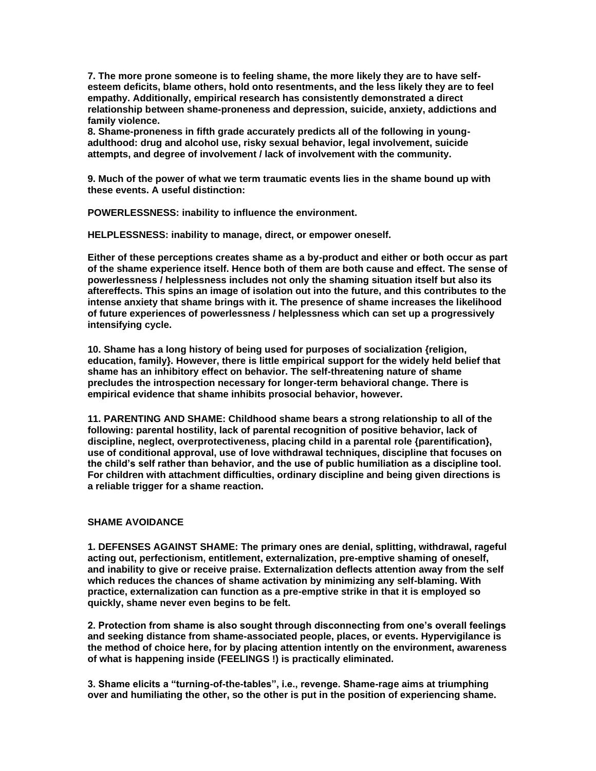**7. The more prone someone is to feeling shame, the more likely they are to have selfesteem deficits, blame others, hold onto resentments, and the less likely they are to feel empathy. Additionally, empirical research has consistently demonstrated a direct relationship between shame-proneness and depression, suicide, anxiety, addictions and family violence.**

**8. Shame-proneness in fifth grade accurately predicts all of the following in youngadulthood: drug and alcohol use, risky sexual behavior, legal involvement, suicide attempts, and degree of involvement / lack of involvement with the community.**

**9. Much of the power of what we term traumatic events lies in the shame bound up with these events. A useful distinction:**

**POWERLESSNESS: inability to influence the environment.**

**HELPLESSNESS: inability to manage, direct, or empower oneself.**

**Either of these perceptions creates shame as a by-product and either or both occur as part of the shame experience itself. Hence both of them are both cause and effect. The sense of powerlessness / helplessness includes not only the shaming situation itself but also its aftereffects. This spins an image of isolation out into the future, and this contributes to the intense anxiety that shame brings with it. The presence of shame increases the likelihood of future experiences of powerlessness / helplessness which can set up a progressively intensifying cycle.**

**10. Shame has a long history of being used for purposes of socialization {religion, education, family}. However, there is little empirical support for the widely held belief that shame has an inhibitory effect on behavior. The self-threatening nature of shame precludes the introspection necessary for longer-term behavioral change. There is empirical evidence that shame inhibits prosocial behavior, however.**

**11. PARENTING AND SHAME: Childhood shame bears a strong relationship to all of the following: parental hostility, lack of parental recognition of positive behavior, lack of discipline, neglect, overprotectiveness, placing child in a parental role {parentification}, use of conditional approval, use of love withdrawal techniques, discipline that focuses on the child's self rather than behavior, and the use of public humiliation as a discipline tool. For children with attachment difficulties, ordinary discipline and being given directions is a reliable trigger for a shame reaction.**

# **SHAME AVOIDANCE**

**1. DEFENSES AGAINST SHAME: The primary ones are denial, splitting, withdrawal, rageful acting out, perfectionism, entitlement, externalization, pre-emptive shaming of oneself, and inability to give or receive praise. Externalization deflects attention away from the self which reduces the chances of shame activation by minimizing any self-blaming. With practice, externalization can function as a pre-emptive strike in that it is employed so quickly, shame never even begins to be felt.**

**2. Protection from shame is also sought through disconnecting from one's overall feelings and seeking distance from shame-associated people, places, or events. Hypervigilance is the method of choice here, for by placing attention intently on the environment, awareness of what is happening inside (FEELINGS !) is practically eliminated.**

**3. Shame elicits a "turning-of-the-tables", i.e., revenge. Shame-rage aims at triumphing over and humiliating the other, so the other is put in the position of experiencing shame.**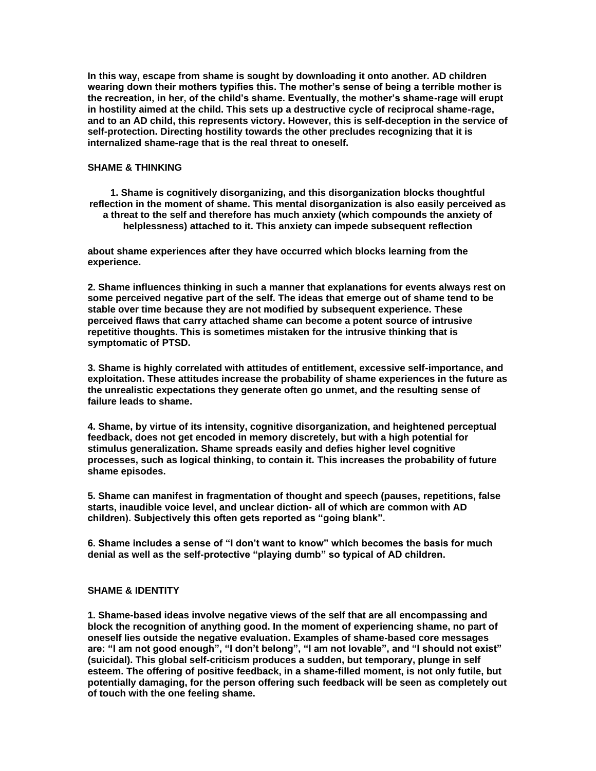**In this way, escape from shame is sought by downloading it onto another. AD children wearing down their mothers typifies this. The mother's sense of being a terrible mother is the recreation, in her, of the child's shame. Eventually, the mother's shame-rage will erupt in hostility aimed at the child. This sets up a destructive cycle of reciprocal shame-rage, and to an AD child, this represents victory. However, this is self-deception in the service of self-protection. Directing hostility towards the other precludes recognizing that it is internalized shame-rage that is the real threat to oneself.**

#### **SHAME & THINKING**

**1. Shame is cognitively disorganizing, and this disorganization blocks thoughtful reflection in the moment of shame. This mental disorganization is also easily perceived as a threat to the self and therefore has much anxiety (which compounds the anxiety of helplessness) attached to it. This anxiety can impede subsequent reflection**

**about shame experiences after they have occurred which blocks learning from the experience.**

**2. Shame influences thinking in such a manner that explanations for events always rest on some perceived negative part of the self. The ideas that emerge out of shame tend to be stable over time because they are not modified by subsequent experience. These perceived flaws that carry attached shame can become a potent source of intrusive repetitive thoughts. This is sometimes mistaken for the intrusive thinking that is symptomatic of PTSD.**

**3. Shame is highly correlated with attitudes of entitlement, excessive self-importance, and exploitation. These attitudes increase the probability of shame experiences in the future as the unrealistic expectations they generate often go unmet, and the resulting sense of failure leads to shame.**

**4. Shame, by virtue of its intensity, cognitive disorganization, and heightened perceptual feedback, does not get encoded in memory discretely, but with a high potential for stimulus generalization. Shame spreads easily and defies higher level cognitive processes, such as logical thinking, to contain it. This increases the probability of future shame episodes.**

**5. Shame can manifest in fragmentation of thought and speech (pauses, repetitions, false starts, inaudible voice level, and unclear diction- all of which are common with AD children). Subjectively this often gets reported as "going blank".**

**6. Shame includes a sense of "I don't want to know" which becomes the basis for much denial as well as the self-protective "playing dumb" so typical of AD children.** 

# **SHAME & IDENTITY**

**1. Shame-based ideas involve negative views of the self that are all encompassing and block the recognition of anything good. In the moment of experiencing shame, no part of oneself lies outside the negative evaluation. Examples of shame-based core messages are: "I am not good enough", "I don't belong", "I am not lovable", and "I should not exist" (suicidal). This global self-criticism produces a sudden, but temporary, plunge in self esteem. The offering of positive feedback, in a shame-filled moment, is not only futile, but potentially damaging, for the person offering such feedback will be seen as completely out of touch with the one feeling shame.**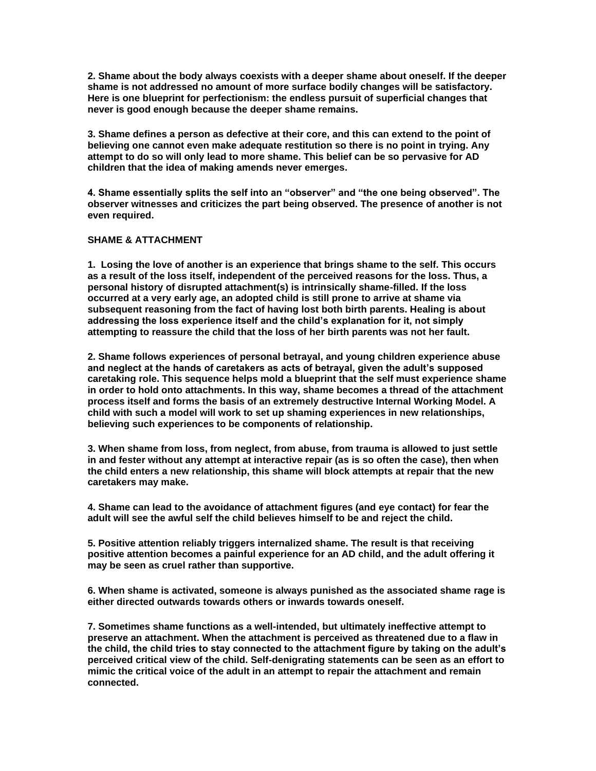**2. Shame about the body always coexists with a deeper shame about oneself. If the deeper shame is not addressed no amount of more surface bodily changes will be satisfactory. Here is one blueprint for perfectionism: the endless pursuit of superficial changes that never is good enough because the deeper shame remains.**

**3. Shame defines a person as defective at their core, and this can extend to the point of believing one cannot even make adequate restitution so there is no point in trying. Any attempt to do so will only lead to more shame. This belief can be so pervasive for AD children that the idea of making amends never emerges.**

**4. Shame essentially splits the self into an "observer" and "the one being observed". The observer witnesses and criticizes the part being observed. The presence of another is not even required.**

# **SHAME & ATTACHMENT**

**1. Losing the love of another is an experience that brings shame to the self. This occurs as a result of the loss itself, independent of the perceived reasons for the loss. Thus, a personal history of disrupted attachment(s) is intrinsically shame-filled. If the loss occurred at a very early age, an adopted child is still prone to arrive at shame via subsequent reasoning from the fact of having lost both birth parents. Healing is about addressing the loss experience itself and the child's explanation for it, not simply attempting to reassure the child that the loss of her birth parents was not her fault.**

**2. Shame follows experiences of personal betrayal, and young children experience abuse and neglect at the hands of caretakers as acts of betrayal, given the adult's supposed caretaking role. This sequence helps mold a blueprint that the self must experience shame in order to hold onto attachments. In this way, shame becomes a thread of the attachment process itself and forms the basis of an extremely destructive Internal Working Model. A child with such a model will work to set up shaming experiences in new relationships, believing such experiences to be components of relationship.**

**3. When shame from loss, from neglect, from abuse, from trauma is allowed to just settle in and fester without any attempt at interactive repair (as is so often the case), then when the child enters a new relationship, this shame will block attempts at repair that the new caretakers may make.** 

**4. Shame can lead to the avoidance of attachment figures (and eye contact) for fear the adult will see the awful self the child believes himself to be and reject the child.**

**5. Positive attention reliably triggers internalized shame. The result is that receiving positive attention becomes a painful experience for an AD child, and the adult offering it may be seen as cruel rather than supportive.**

**6. When shame is activated, someone is always punished as the associated shame rage is either directed outwards towards others or inwards towards oneself.**

**7. Sometimes shame functions as a well-intended, but ultimately ineffective attempt to preserve an attachment. When the attachment is perceived as threatened due to a flaw in the child, the child tries to stay connected to the attachment figure by taking on the adult's perceived critical view of the child. Self-denigrating statements can be seen as an effort to mimic the critical voice of the adult in an attempt to repair the attachment and remain connected.**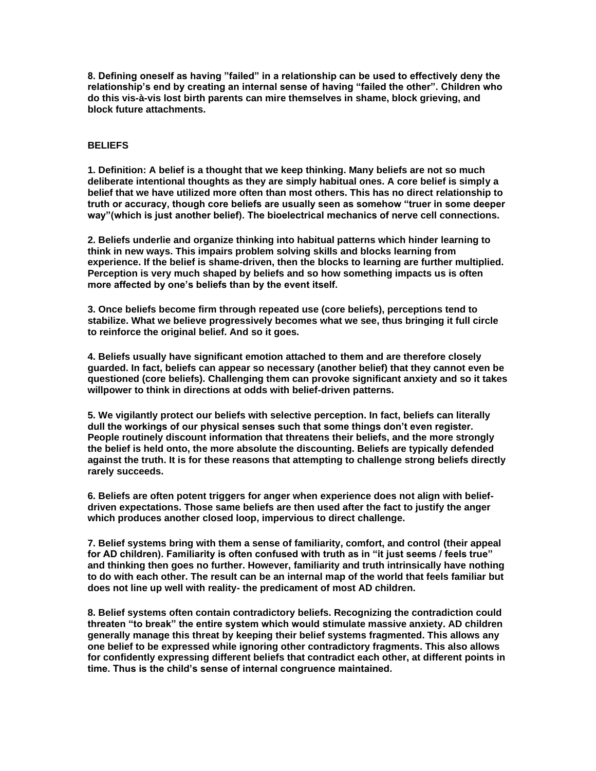**8. Defining oneself as having "failed" in a relationship can be used to effectively deny the relationship's end by creating an internal sense of having "failed the other". Children who do this vis-à-vis lost birth parents can mire themselves in shame, block grieving, and block future attachments.** 

## **BELIEFS**

**1. Definition: A belief is a thought that we keep thinking. Many beliefs are not so much deliberate intentional thoughts as they are simply habitual ones. A core belief is simply a belief that we have utilized more often than most others. This has no direct relationship to truth or accuracy, though core beliefs are usually seen as somehow "truer in some deeper way"(which is just another belief). The bioelectrical mechanics of nerve cell connections.**

**2. Beliefs underlie and organize thinking into habitual patterns which hinder learning to think in new ways. This impairs problem solving skills and blocks learning from experience. If the belief is shame-driven, then the blocks to learning are further multiplied. Perception is very much shaped by beliefs and so how something impacts us is often more affected by one's beliefs than by the event itself.**

**3. Once beliefs become firm through repeated use (core beliefs), perceptions tend to stabilize. What we believe progressively becomes what we see, thus bringing it full circle to reinforce the original belief. And so it goes.**

**4. Beliefs usually have significant emotion attached to them and are therefore closely guarded. In fact, beliefs can appear so necessary (another belief) that they cannot even be questioned (core beliefs). Challenging them can provoke significant anxiety and so it takes willpower to think in directions at odds with belief-driven patterns.**

**5. We vigilantly protect our beliefs with selective perception. In fact, beliefs can literally dull the workings of our physical senses such that some things don't even register. People routinely discount information that threatens their beliefs, and the more strongly the belief is held onto, the more absolute the discounting. Beliefs are typically defended against the truth. It is for these reasons that attempting to challenge strong beliefs directly rarely succeeds.**

**6. Beliefs are often potent triggers for anger when experience does not align with beliefdriven expectations. Those same beliefs are then used after the fact to justify the anger which produces another closed loop, impervious to direct challenge.**

**7. Belief systems bring with them a sense of familiarity, comfort, and control (their appeal for AD children). Familiarity is often confused with truth as in "it just seems / feels true" and thinking then goes no further. However, familiarity and truth intrinsically have nothing to do with each other. The result can be an internal map of the world that feels familiar but does not line up well with reality- the predicament of most AD children.**

**8. Belief systems often contain contradictory beliefs. Recognizing the contradiction could threaten "to break" the entire system which would stimulate massive anxiety. AD children generally manage this threat by keeping their belief systems fragmented. This allows any one belief to be expressed while ignoring other contradictory fragments. This also allows for confidently expressing different beliefs that contradict each other, at different points in time. Thus is the child's sense of internal congruence maintained.**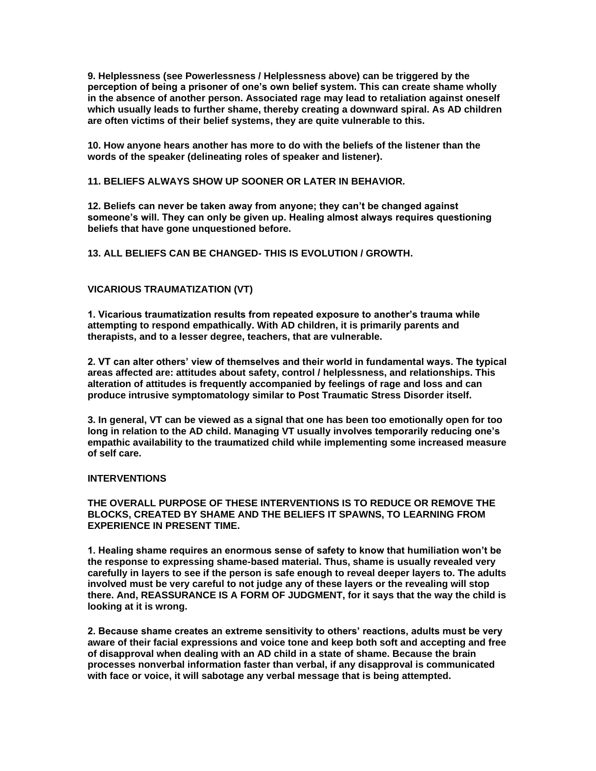**9. Helplessness (see Powerlessness / Helplessness above) can be triggered by the perception of being a prisoner of one's own belief system. This can create shame wholly in the absence of another person. Associated rage may lead to retaliation against oneself which usually leads to further shame, thereby creating a downward spiral. As AD children are often victims of their belief systems, they are quite vulnerable to this.**

**10. How anyone hears another has more to do with the beliefs of the listener than the words of the speaker (delineating roles of speaker and listener).**

# **11. BELIEFS ALWAYS SHOW UP SOONER OR LATER IN BEHAVIOR.**

**12. Beliefs can never be taken away from anyone; they can't be changed against someone's will. They can only be given up. Healing almost always requires questioning beliefs that have gone unquestioned before.**

**13. ALL BELIEFS CAN BE CHANGED- THIS IS EVOLUTION / GROWTH.**

# **VICARIOUS TRAUMATIZATION (VT)**

**1. Vicarious traumatization results from repeated exposure to another's trauma while attempting to respond empathically. With AD children, it is primarily parents and therapists, and to a lesser degree, teachers, that are vulnerable.**

**2. VT can alter others' view of themselves and their world in fundamental ways. The typical areas affected are: attitudes about safety, control / helplessness, and relationships. This alteration of attitudes is frequently accompanied by feelings of rage and loss and can produce intrusive symptomatology similar to Post Traumatic Stress Disorder itself.**

**3. In general, VT can be viewed as a signal that one has been too emotionally open for too long in relation to the AD child. Managing VT usually involves temporarily reducing one's empathic availability to the traumatized child while implementing some increased measure of self care.** 

#### **INTERVENTIONS**

# **THE OVERALL PURPOSE OF THESE INTERVENTIONS IS TO REDUCE OR REMOVE THE BLOCKS, CREATED BY SHAME AND THE BELIEFS IT SPAWNS, TO LEARNING FROM EXPERIENCE IN PRESENT TIME.**

**1. Healing shame requires an enormous sense of safety to know that humiliation won't be the response to expressing shame-based material. Thus, shame is usually revealed very carefully in layers to see if the person is safe enough to reveal deeper layers to. The adults involved must be very careful to not judge any of these layers or the revealing will stop there. And, REASSURANCE IS A FORM OF JUDGMENT, for it says that the way the child is looking at it is wrong.**

**2. Because shame creates an extreme sensitivity to others' reactions, adults must be very aware of their facial expressions and voice tone and keep both soft and accepting and free of disapproval when dealing with an AD child in a state of shame. Because the brain processes nonverbal information faster than verbal, if any disapproval is communicated with face or voice, it will sabotage any verbal message that is being attempted.**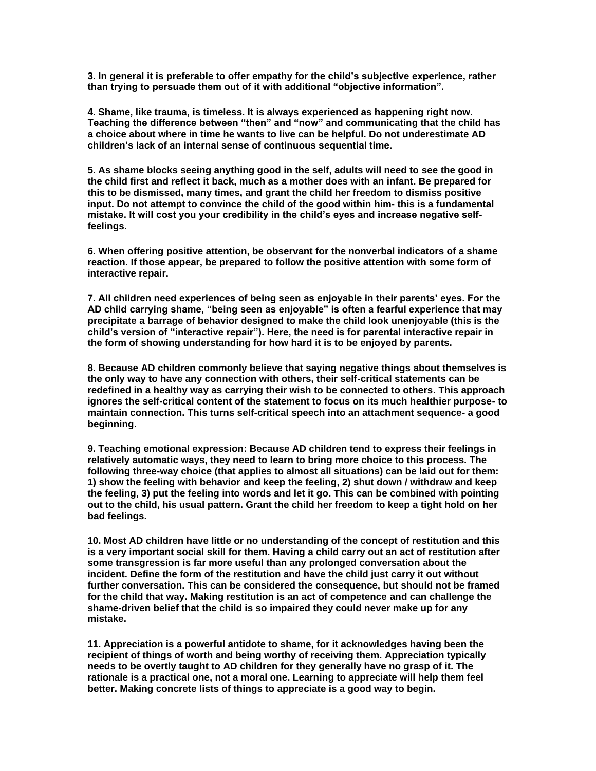**3. In general it is preferable to offer empathy for the child's subjective experience, rather than trying to persuade them out of it with additional "objective information".**

**4. Shame, like trauma, is timeless. It is always experienced as happening right now. Teaching the difference between "then" and "now" and communicating that the child has a choice about where in time he wants to live can be helpful. Do not underestimate AD children's lack of an internal sense of continuous sequential time.**

**5. As shame blocks seeing anything good in the self, adults will need to see the good in the child first and reflect it back, much as a mother does with an infant. Be prepared for this to be dismissed, many times, and grant the child her freedom to dismiss positive input. Do not attempt to convince the child of the good within him- this is a fundamental mistake. It will cost you your credibility in the child's eyes and increase negative selffeelings.**

**6. When offering positive attention, be observant for the nonverbal indicators of a shame reaction. If those appear, be prepared to follow the positive attention with some form of interactive repair.**

**7. All children need experiences of being seen as enjoyable in their parents' eyes. For the AD child carrying shame, "being seen as enjoyable" is often a fearful experience that may precipitate a barrage of behavior designed to make the child look unenjoyable (this is the child's version of "interactive repair"). Here, the need is for parental interactive repair in the form of showing understanding for how hard it is to be enjoyed by parents.**

**8. Because AD children commonly believe that saying negative things about themselves is the only way to have any connection with others, their self-critical statements can be redefined in a healthy way as carrying their wish to be connected to others. This approach ignores the self-critical content of the statement to focus on its much healthier purpose- to maintain connection. This turns self-critical speech into an attachment sequence- a good beginning.**

**9. Teaching emotional expression: Because AD children tend to express their feelings in relatively automatic ways, they need to learn to bring more choice to this process. The following three-way choice (that applies to almost all situations) can be laid out for them: 1) show the feeling with behavior and keep the feeling, 2) shut down / withdraw and keep the feeling, 3) put the feeling into words and let it go. This can be combined with pointing out to the child, his usual pattern. Grant the child her freedom to keep a tight hold on her bad feelings.**

**10. Most AD children have little or no understanding of the concept of restitution and this is a very important social skill for them. Having a child carry out an act of restitution after some transgression is far more useful than any prolonged conversation about the incident. Define the form of the restitution and have the child just carry it out without further conversation. This can be considered the consequence, but should not be framed for the child that way. Making restitution is an act of competence and can challenge the shame-driven belief that the child is so impaired they could never make up for any mistake.**

**11. Appreciation is a powerful antidote to shame, for it acknowledges having been the recipient of things of worth and being worthy of receiving them. Appreciation typically needs to be overtly taught to AD children for they generally have no grasp of it. The rationale is a practical one, not a moral one. Learning to appreciate will help them feel better. Making concrete lists of things to appreciate is a good way to begin.**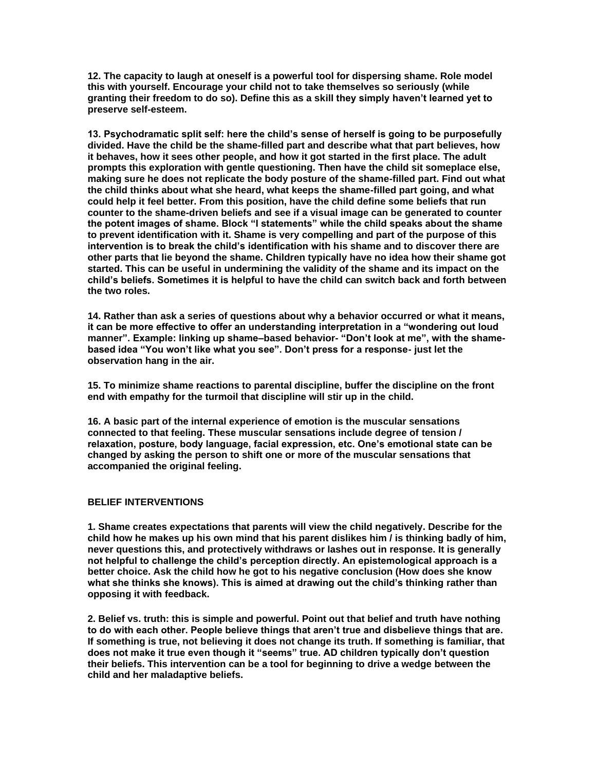**12. The capacity to laugh at oneself is a powerful tool for dispersing shame. Role model this with yourself. Encourage your child not to take themselves so seriously (while granting their freedom to do so). Define this as a skill they simply haven't learned yet to preserve self-esteem.**

**13. Psychodramatic split self: here the child's sense of herself is going to be purposefully divided. Have the child be the shame-filled part and describe what that part believes, how it behaves, how it sees other people, and how it got started in the first place. The adult prompts this exploration with gentle questioning. Then have the child sit someplace else, making sure he does not replicate the body posture of the shame-filled part. Find out what the child thinks about what she heard, what keeps the shame-filled part going, and what could help it feel better. From this position, have the child define some beliefs that run counter to the shame-driven beliefs and see if a visual image can be generated to counter the potent images of shame. Block "I statements" while the child speaks about the shame to prevent identification with it. Shame is very compelling and part of the purpose of this intervention is to break the child's identification with his shame and to discover there are other parts that lie beyond the shame. Children typically have no idea how their shame got started. This can be useful in undermining the validity of the shame and its impact on the child's beliefs. Sometimes it is helpful to have the child can switch back and forth between the two roles.**

**14. Rather than ask a series of questions about why a behavior occurred or what it means, it can be more effective to offer an understanding interpretation in a "wondering out loud manner". Example: linking up shame–based behavior- "Don't look at me", with the shamebased idea "You won't like what you see". Don't press for a response- just let the observation hang in the air.** 

**15. To minimize shame reactions to parental discipline, buffer the discipline on the front end with empathy for the turmoil that discipline will stir up in the child.**

**16. A basic part of the internal experience of emotion is the muscular sensations connected to that feeling. These muscular sensations include degree of tension / relaxation, posture, body language, facial expression, etc. One's emotional state can be changed by asking the person to shift one or more of the muscular sensations that accompanied the original feeling.**

# **BELIEF INTERVENTIONS**

**1. Shame creates expectations that parents will view the child negatively. Describe for the child how he makes up his own mind that his parent dislikes him / is thinking badly of him, never questions this, and protectively withdraws or lashes out in response. It is generally not helpful to challenge the child's perception directly. An epistemological approach is a better choice. Ask the child how he got to his negative conclusion (How does she know what she thinks she knows). This is aimed at drawing out the child's thinking rather than opposing it with feedback.**

**2. Belief vs. truth: this is simple and powerful. Point out that belief and truth have nothing to do with each other. People believe things that aren't true and disbelieve things that are. If something is true, not believing it does not change its truth. If something is familiar, that does not make it true even though it "seems" true. AD children typically don't question their beliefs. This intervention can be a tool for beginning to drive a wedge between the child and her maladaptive beliefs.**